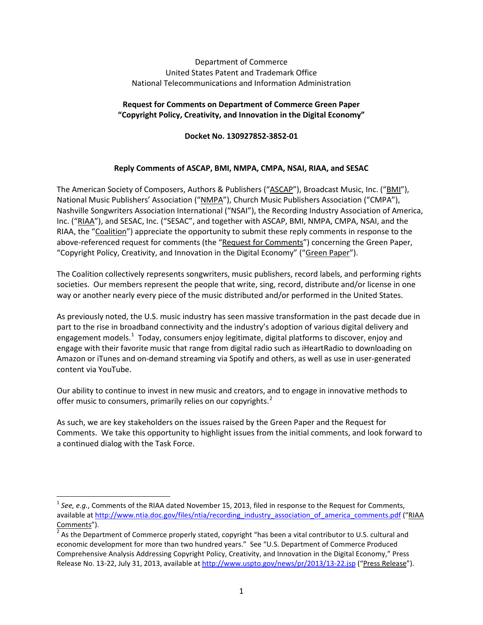#### Department of Commerce United States Patent and Trademark Office National Telecommunications and Information Administration

### **Request for Comments on Department of Commerce Green Paper "Copyright Policy, Creativity, and Innovation in the Digital Economy"**

**Docket No. 130927852-3852-01**

## **Reply Comments of ASCAP, BMI, NMPA, CMPA, NSAI, RIAA, and SESAC**

The American Society of Composers, Authors & Publishers ("ASCAP"), Broadcast Music, Inc. ("BMI"), National Music Publishers' Association ("NMPA"), Church Music Publishers Association ("CMPA"), Nashville Songwriters Association International ("NSAI"), the Recording Industry Association of America, Inc. ("RIAA"), and SESAC, Inc. ("SESAC", and together with ASCAP, BMI, NMPA, CMPA, NSAI, and the RIAA, the "Coalition") appreciate the opportunity to submit these reply comments in response to the above-referenced request for comments (the "Request for Comments") concerning the Green Paper, "Copyright Policy, Creativity, and Innovation in the Digital Economy" ("Green Paper").

The Coalition collectively represents songwriters, music publishers, record labels, and performing rights societies. Our members represent the people that write, sing, record, distribute and/or license in one way or another nearly every piece of the music distributed and/or performed in the United States.

As previously noted, the U.S. music industry has seen massive transformation in the past decade due in part to the rise in broadband connectivity and the industry's adoption of various digital delivery and engagement models.<sup>[1](#page-0-0)</sup> Today, consumers enjoy legitimate, digital platforms to discover, enjoy and engage with their favorite music that range from digital radio such as iHeartRadio to downloading on Amazon or iTunes and on-demand streaming via Spotify and others, as well as use in user-generated content via YouTube.

Our ability to continue to invest in new music and creators, and to engage in innovative methods to offer music to consumers, primarily relies on our copyrights.<sup>[2](#page-0-1)</sup>

As such, we are key stakeholders on the issues raised by the Green Paper and the Request for Comments. We take this opportunity to highlight issues from the initial comments, and look forward to a continued dialog with the Task Force.

<span id="page-0-0"></span> <sup>1</sup> *See, e.g.*, Comments of the RIAA dated November 15, 2013, filed in response to the Request for Comments, available a[t http://www.ntia.doc.gov/files/ntia/recording\\_industry\\_association\\_of\\_america\\_comments.pdf](http://www.ntia.doc.gov/files/ntia/recording_industry_association_of_america_comments.pdf) ("RIAA Comments").<br> $\frac{1}{2}$  As the Department of Commerce properly stated, copyright "has been a vital contributor to U.S. cultural and

<span id="page-0-1"></span>economic development for more than two hundred years." See "U.S. Department of Commerce Produced Comprehensive Analysis Addressing Copyright Policy, Creativity, and Innovation in the Digital Economy," Press Release No. 13-22, July 31, 2013, available a[t http://www.uspto.gov/news/pr/2013/13-22.jsp](http://www.uspto.gov/news/pr/2013/13-22.jsp) ("Press Release").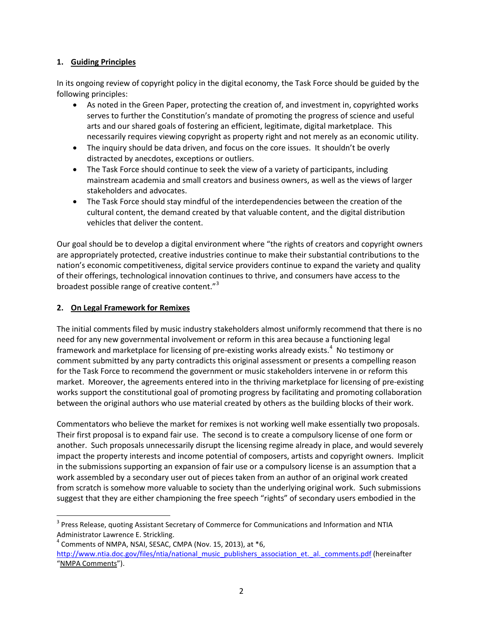### **1. Guiding Principles**

In its ongoing review of copyright policy in the digital economy, the Task Force should be guided by the following principles:

- As noted in the Green Paper, protecting the creation of, and investment in, copyrighted works serves to further the Constitution's mandate of promoting the progress of science and useful arts and our shared goals of fostering an efficient, legitimate, digital marketplace. This necessarily requires viewing copyright as property right and not merely as an economic utility.
- The inquiry should be data driven, and focus on the core issues. It shouldn't be overly distracted by anecdotes, exceptions or outliers.
- The Task Force should continue to seek the view of a variety of participants, including mainstream academia and small creators and business owners, as well as the views of larger stakeholders and advocates.
- The Task Force should stay mindful of the interdependencies between the creation of the cultural content, the demand created by that valuable content, and the digital distribution vehicles that deliver the content.

Our goal should be to develop a digital environment where "the rights of creators and copyright owners are appropriately protected, creative industries continue to make their substantial contributions to the nation's economic competitiveness, digital service providers continue to expand the variety and quality of their offerings, technological innovation continues to thrive, and consumers have access to the broadest possible range of creative content."<sup>[3](#page-1-0)</sup>

# **2. On Legal Framework for Remixes**

The initial comments filed by music industry stakeholders almost uniformly recommend that there is no need for any new governmental involvement or reform in this area because a functioning legal framework and marketplace for licensing of pre-existing works already exists.<sup>[4](#page-1-1)</sup> No testimony or comment submitted by any party contradicts this original assessment or presents a compelling reason for the Task Force to recommend the government or music stakeholders intervene in or reform this market. Moreover, the agreements entered into in the thriving marketplace for licensing of pre-existing works support the constitutional goal of promoting progress by facilitating and promoting collaboration between the original authors who use material created by others as the building blocks of their work.

Commentators who believe the market for remixes is not working well make essentially two proposals. Their first proposal is to expand fair use. The second is to create a compulsory license of one form or another. Such proposals unnecessarily disrupt the licensing regime already in place, and would severely impact the property interests and income potential of composers, artists and copyright owners. Implicit in the submissions supporting an expansion of fair use or a compulsory license is an assumption that a work assembled by a secondary user out of pieces taken from an author of an original work created from scratch is somehow more valuable to society than the underlying original work. Such submissions suggest that they are either championing the free speech "rights" of secondary users embodied in the

<span id="page-1-0"></span><sup>&</sup>lt;sup>3</sup> Press Release, quoting Assistant Secretary of Commerce for Communications and Information and NTIA Administrator Lawrence E. Strickling.

<span id="page-1-1"></span> $4$  Comments of NMPA, NSAI, SESAC, CMPA (Nov. 15, 2013), at  $*6$ , [http://www.ntia.doc.gov/files/ntia/national\\_music\\_publishers\\_association\\_et.\\_al.\\_comments.pdf](http://www.ntia.doc.gov/files/ntia/national_music_publishers_association_et._al._comments.pdf) (hereinafter "NMPA Comments").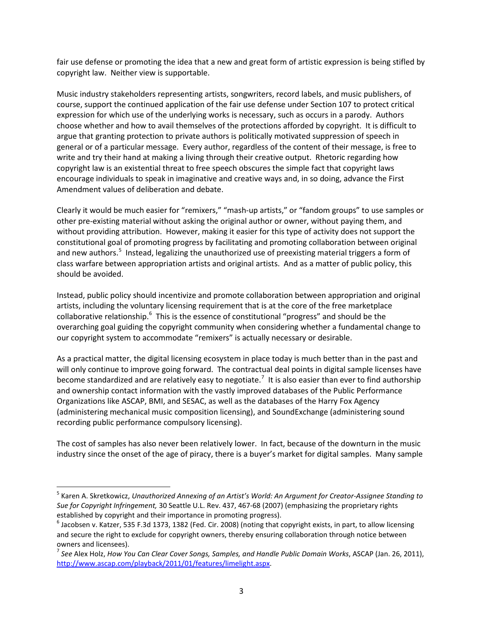fair use defense or promoting the idea that a new and great form of artistic expression is being stifled by copyright law. Neither view is supportable.

Music industry stakeholders representing artists, songwriters, record labels, and music publishers, of course, support the continued application of the fair use defense under Section 107 to protect critical expression for which use of the underlying works is necessary, such as occurs in a parody. Authors choose whether and how to avail themselves of the protections afforded by copyright. It is difficult to argue that granting protection to private authors is politically motivated suppression of speech in general or of a particular message. Every author, regardless of the content of their message, is free to write and try their hand at making a living through their creative output. Rhetoric regarding how copyright law is an existential threat to free speech obscures the simple fact that copyright laws encourage individuals to speak in imaginative and creative ways and, in so doing, advance the First Amendment values of deliberation and debate.

Clearly it would be much easier for "remixers," "mash-up artists," or "fandom groups" to use samples or other pre-existing material without asking the original author or owner, without paying them, and without providing attribution. However, making it easier for this type of activity does not support the constitutional goal of promoting progress by facilitating and promoting collaboration between original and new authors.<sup>[5](#page-2-0)</sup> Instead, legalizing the unauthorized use of preexisting material triggers a form of class warfare between appropriation artists and original artists. And as a matter of public policy, this should be avoided.

Instead, public policy should incentivize and promote collaboration between appropriation and original artists, including the voluntary licensing requirement that is at the core of the free marketplace collaborative relationship.<sup>[6](#page-2-1)</sup> This is the essence of constitutional "progress" and should be the overarching goal guiding the copyright community when considering whether a fundamental change to our copyright system to accommodate "remixers" is actually necessary or desirable.

As a practical matter, the digital licensing ecosystem in place today is much better than in the past and will only continue to improve going forward. The contractual deal points in digital sample licenses have become standardized and are relatively easy to negotiate.<sup>[7](#page-2-2)</sup> It is also easier than ever to find authorship and ownership contact information with the vastly improved databases of the Public Performance Organizations like ASCAP, BMI, and SESAC, as well as the databases of the Harry Fox Agency (administering mechanical music composition licensing), and SoundExchange (administering sound recording public performance compulsory licensing).

The cost of samples has also never been relatively lower. In fact, because of the downturn in the music industry since the onset of the age of piracy, there is a buyer's market for digital samples. Many sample

<span id="page-2-0"></span> <sup>5</sup> Karen A. Skretkowicz, *Unauthorized Annexing of an Artist's World: An Argument for Creator-Assignee Standing to Sue for Copyright Infringement,* 30 Seattle U.L. Rev. 437, 467-68 (2007) (emphasizing the proprietary rights established by copyright and their importance in promoting progress).

<span id="page-2-1"></span> $^6$  Jacobsen v. Katzer, 535 F.3d 1373, 1382 (Fed. Cir. 2008) (noting that copyright exists, in part, to allow licensing and secure the right to exclude for copyright owners, thereby ensuring collaboration through notice between owners and licensees).

<span id="page-2-2"></span><sup>7</sup> *See* Alex Holz, *How You Can Clear Cover Songs, Samples, and Handle Public Domain Works*, ASCAP (Jan. 26, 2011), [http://www.ascap.com/playback/2011/01/features/limelight.aspx.](http://www.ascap.com/playback/2011/01/features/limelight.aspx)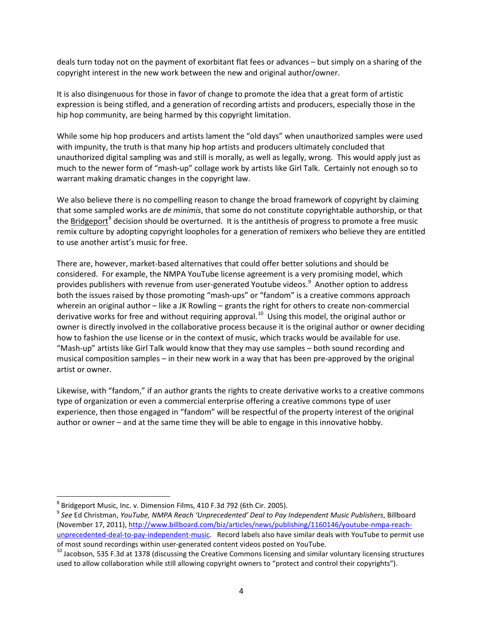deals turn today not on the payment of exorbitant flat fees or advances – but simply on a sharing of the copyright interest in the new work between the new and original author/owner.

It is also disingenuous for those in favor of change to promote the idea that a great form of artistic expression is being stifled, and a generation of recording artists and producers, especially those in the hip hop community, are being harmed by this copyright limitation.

While some hip hop producers and artists lament the "old days" when unauthorized samples were used with impunity, the truth is that many hip hop artists and producers ultimately concluded that unauthorized digital sampling was and still is morally, as well as legally, wrong. This would apply just as much to the newer form of "mash-up" collage work by artists like Girl Talk. Certainly not enough so to warrant making dramatic changes in the copyright law.

We also believe there is no compelling reason to change the broad framework of copyright by claiming that some sampled works are *de minimis*, that some do not constitute copyrightable authorship, or that the Bridgeport<sup>[8](#page-3-0)</sup> decision should be overturned. It is the antithesis of progress to promote a free music remix culture by adopting copyright loopholes for a generation of remixers who believe they are entitled to use another artist's music for free.

There are, however, market-based alternatives that could offer better solutions and should be considered. For example, the NMPA YouTube license agreement is a very promising model, which provides publishers with revenue from user-generated Youtube videos.<sup>[9](#page-3-1)</sup> Another option to address both the issues raised by those promoting "mash-ups" or "fandom" is a creative commons approach wherein an original author – like a JK Rowling – grants the right for others to create non-commercial derivative works for free and without requiring approval.<sup>10</sup> Using this model, the original author or owner is directly involved in the collaborative process because it is the original author or owner deciding how to fashion the use license or in the context of music, which tracks would be available for use. "Mash-up" artists like Girl Talk would know that they may use samples – both sound recording and musical composition samples – in their new work in a way that has been pre-approved by the original artist or owner.

Likewise, with "fandom," if an author grants the rights to create derivative works to a creative commons type of organization or even a commercial enterprise offering a creative commons type of user experience, then those engaged in "fandom" will be respectful of the property interest of the original author or owner – and at the same time they will be able to engage in this innovative hobby.

<span id="page-3-0"></span> <sup>8</sup> Bridgeport Music, Inc. v. Dimension Films, 410 F.3d 792 (6th Cir. 2005).

<span id="page-3-1"></span><sup>9</sup> *See* Ed Christman, *YouTube, NMPA Reach 'Unprecedented' Deal to Pay Independent Music Publishers*, Billboard (November 17, 2011), [http://www.billboard.com/biz/articles/news/publishing/1160146/youtube-nmpa-reach](http://www.billboard.com/biz/articles/news/publishing/1160146/youtube-nmpa-reach-unprecedented-deal-to-pay-independent-music)[unprecedented-deal-to-pay-independent-music.](http://www.billboard.com/biz/articles/news/publishing/1160146/youtube-nmpa-reach-unprecedented-deal-to-pay-independent-music) Record labels also have similar deals with YouTube to permit use

<span id="page-3-2"></span>of most sound recordings within user-generated content videos posted on YouTube.<br><sup>10</sup> Jacobson, 535 F.3d at 1378 (discussing the Creative Commons licensing and similar voluntary licensing structures used to allow collaboration while still allowing copyright owners to "protect and control their copyrights").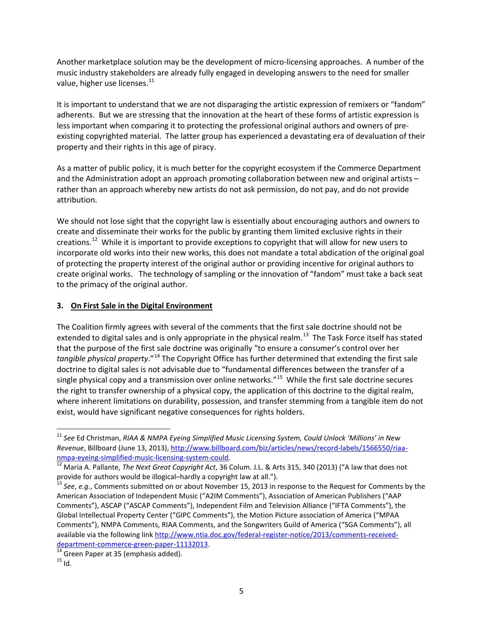Another marketplace solution may be the development of micro-licensing approaches. A number of the music industry stakeholders are already fully engaged in developing answers to the need for smaller value, higher use licenses.<sup>[11](#page-4-0)</sup>

It is important to understand that we are not disparaging the artistic expression of remixers or "fandom" adherents. But we are stressing that the innovation at the heart of these forms of artistic expression is less important when comparing it to protecting the professional original authors and owners of preexisting copyrighted material. The latter group has experienced a devastating era of devaluation of their property and their rights in this age of piracy.

As a matter of public policy, it is much better for the copyright ecosystem if the Commerce Department and the Administration adopt an approach promoting collaboration between new and original artists – rather than an approach whereby new artists do not ask permission, do not pay, and do not provide attribution.

We should not lose sight that the copyright law is essentially about encouraging authors and owners to create and disseminate their works for the public by granting them limited exclusive rights in their creations.<sup>12</sup> While it is important to provide exceptions to copyright that will allow for new users to incorporate old works into their new works, this does not mandate a total abdication of the original goal of protecting the property interest of the original author or providing incentive for original authors to create original works. The technology of sampling or the innovation of "fandom" must take a back seat to the primacy of the original author.

## **3. On First Sale in the Digital Environment**

The Coalition firmly agrees with several of the comments that the first sale doctrine should not be extended to digital sales and is only appropriate in the physical realm.<sup>[13](#page-4-2)</sup> The Task Force itself has stated that the purpose of the first sale doctrine was originally "to ensure a consumer's control over her *tangible physical property*."[14](#page-4-3) The Copyright Office has further determined that extending the first sale doctrine to digital sales is not advisable due to "fundamental differences between the transfer of a single physical copy and a transmission over online networks."<sup>[15](#page-4-4)</sup> While the first sale doctrine secures the right to transfer ownership of a physical copy, the application of this doctrine to the digital realm, where inherent limitations on durability, possession, and transfer stemming from a tangible item do not exist, would have significant negative consequences for rights holders.

<span id="page-4-0"></span> <sup>11</sup> *See* Ed Christman, *RIAA & NMPA Eyeing Simplified Music Licensing System, Could Unlock 'Millions' in New Revenue*, Billboard (June 13, 2013), [http://www.billboard.com/biz/articles/news/record-labels/1566550/riaa-](http://www.billboard.com/biz/articles/news/record-labels/1566550/riaa-nmpa-eyeing-simplified-music-licensing-system-could)

<span id="page-4-1"></span>[nmpa-eyeing-simplified-music-licensing-system-could.](http://www.billboard.com/biz/articles/news/record-labels/1566550/riaa-nmpa-eyeing-simplified-music-licensing-system-could)<br><sup>[12](http://www.billboard.com/biz/articles/news/record-labels/1566550/riaa-nmpa-eyeing-simplified-music-licensing-system-could)</sup> Maria A. Pallante, *The Next Great Copyright Act*, 36 Colum. J.L. & Arts 315, 340 (2013) ("A law that does not provide for authors would be illogical–hardly a copyright law at all.").<br><sup>13</sup> See, e.g., Comments submitted on or about November 15, 2013 in response to the Request for Comments by the

<span id="page-4-2"></span>American Association of Independent Music ("A2IM Comments"), Association of American Publishers ("AAP Comments"), ASCAP ("ASCAP Comments"), Independent Film and Television Alliance ("IFTA Comments"), the Global Intellectual Property Center ("GIPC Comments"), the Motion Picture association of America ("MPAA Comments"), NMPA Comments, RIAA Comments, and the Songwriters Guild of America ("SGA Comments"), all available via the following lin[k http://www.ntia.doc.gov/federal-register-notice/2013/comments-received](http://www.ntia.doc.gov/federal-register-notice/2013/comments-received-department-commerce-green-paper-11132013)[department-commerce-green-paper-11132013.](http://www.ntia.doc.gov/federal-register-notice/2013/comments-received-department-commerce-green-paper-11132013)<br><sup>14</sup> Green Paper at 35 (emphasis added).<br><sup>15</sup> Id.

<span id="page-4-4"></span><span id="page-4-3"></span>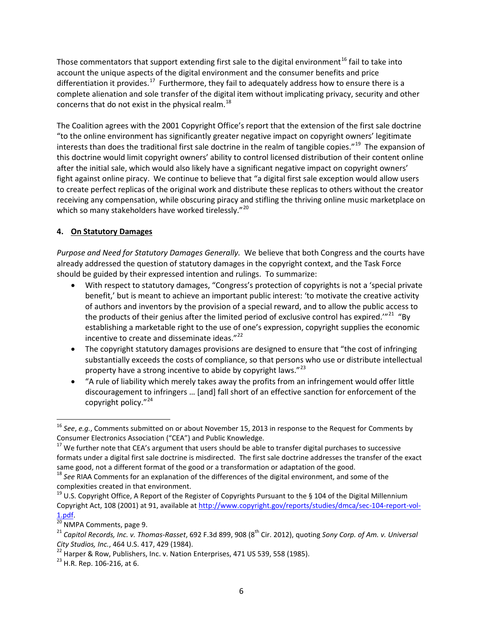Those commentators that support extending first sale to the digital environment<sup>[16](#page-5-0)</sup> fail to take into account the unique aspects of the digital environment and the consumer benefits and price differentiation it provides.<sup>17</sup> Furthermore, they fail to adequately address how to ensure there is a complete alienation and sole transfer of the digital item without implicating privacy, security and other concerns that do not exist in the physical realm. $^{18}$  $^{18}$  $^{18}$ 

The Coalition agrees with the 2001 Copyright Office's report that the extension of the first sale doctrine "to the online environment has significantly greater negative impact on copyright owners' legitimate interests than does the traditional first sale doctrine in the realm of tangible copies."<sup>[19](#page-5-3)</sup> The expansion of this doctrine would limit copyright owners' ability to control licensed distribution of their content online after the initial sale, which would also likely have a significant negative impact on copyright owners' fight against online piracy. We continue to believe that "a digital first sale exception would allow users to create perfect replicas of the original work and distribute these replicas to others without the creator receiving any compensation, while obscuring piracy and stifling the thriving online music marketplace on which so many stakeholders have worked tirelessly."<sup>[20](#page-5-4)</sup>

## **4. On Statutory Damages**

*Purpose and Need for Statutory Damages Generally.* We believe that both Congress and the courts have already addressed the question of statutory damages in the copyright context, and the Task Force should be guided by their expressed intention and rulings. To summarize:

- With respect to statutory damages, "Congress's protection of copyrights is not a 'special private benefit,' but is meant to achieve an important public interest: 'to motivate the creative activity of authors and inventors by the provision of a special reward, and to allow the public access to the products of their genius after the limited period of exclusive control has expired."<sup>21</sup> "By establishing a marketable right to the use of one's expression, copyright supplies the economic incentive to create and disseminate ideas."<sup>[22](#page-5-6)</sup>
- The copyright statutory damages provisions are designed to ensure that "the cost of infringing substantially exceeds the costs of compliance, so that persons who use or distribute intellectual property have a strong incentive to abide by copyright laws." $^{23}$
- "A rule of liability which merely takes away the profits from an infringement would offer little discouragement to infringers … [and] fall short of an effective sanction for enforcement of the copyright policy."<sup>[24](#page-5-8)</sup>

<span id="page-5-0"></span><sup>&</sup>lt;sup>16</sup> *See, e.g.*, Comments submitted on or about November 15, 2013 in response to the Request for Comments by Consumer Electronics Association ("CEA") and Public Knowledge.

<span id="page-5-1"></span> $^{17}$  We further note that CEA's argument that users should be able to transfer digital purchases to successive formats under a digital first sale doctrine is misdirected. The first sale doctrine addresses the transfer of the exact

<span id="page-5-2"></span>same good, not a different format of the good or a transformation or adaptation of the good.<br><sup>18</sup> *See* RIAA Comments for an explanation of the differences of the digital environment, and some of the complexities created in that environment.

<span id="page-5-8"></span><span id="page-5-3"></span><sup>&</sup>lt;sup>19</sup> U.S. Copyright Office, A Report of the Register of Copyrights Pursuant to the § 104 of the Digital Millennium Copyright Act, 108 (2001) at 91, available at [http://www.copyright.gov/reports/studies/dmca/sec-104-report-vol-](http://www.copyright.gov/reports/studies/dmca/sec-104-report-vol-1.pdf)

<span id="page-5-5"></span><span id="page-5-4"></span>

[<sup>1.</sup>pdf.](http://www.copyright.gov/reports/studies/dmca/sec-104-report-vol-1.pdf)<br><sup>[20](http://www.copyright.gov/reports/studies/dmca/sec-104-report-vol-1.pdf)</sup> NMPA Comments, page 9.<br><sup>21</sup> Capitol Records, Inc. v. Thomas-Rasset, 692 F.3d 899, 908 (8<sup>th</sup> Cir. 2012), quoting *Sony Corp. of Am. v. Universal*<br>City Studios, Inc., 464 U.S. 417, 429 (1984).

<span id="page-5-6"></span><sup>&</sup>lt;sup>22</sup> Harper & Row, Publishers, Inc. v. Nation Enterprises, 471 US 539, 558 (1985). <sup>23</sup> H.R. Rep. 106-216, at 6.

<span id="page-5-7"></span>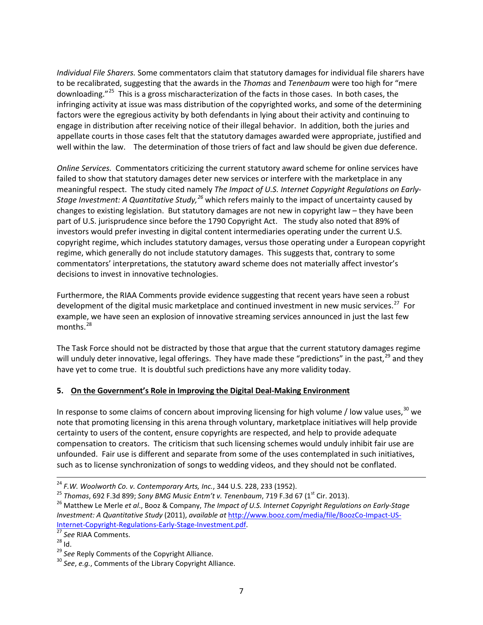*Individual File Sharers.* Some commentators claim that statutory damages for individual file sharers have to be recalibrated, suggesting that the awards in the *Thomas* and *Tenenbaum* were too high for "mere downloading."<sup>25</sup> This is a gross mischaracterization of the facts in those cases. In both cases, the infringing activity at issue was mass distribution of the copyrighted works, and some of the determining factors were the egregious activity by both defendants in lying about their activity and continuing to engage in distribution after receiving notice of their illegal behavior. In addition, both the juries and appellate courts in those cases felt that the statutory damages awarded were appropriate, justified and well within the law. The determination of those triers of fact and law should be given due deference.

*Online Services.* Commentators criticizing the current statutory award scheme for online services have failed to show that statutory damages deter new services or interfere with the marketplace in any meaningful respect. The study cited namely *The Impact of U.S. Internet Copyright Regulations on Early-Stage Investment: A Quantitative Study,[26](#page-6-1)* which refers mainly to the impact of uncertainty caused by changes to existing legislation. But statutory damages are not new in copyright law – they have been part of U.S. jurisprudence since before the 1790 Copyright Act. The study also noted that 89% of investors would prefer investing in digital content intermediaries operating under the current U.S. copyright regime, which includes statutory damages, versus those operating under a European copyright regime, which generally do not include statutory damages. This suggests that, contrary to some commentators' interpretations, the statutory award scheme does not materially affect investor's decisions to invest in innovative technologies.

Furthermore, the RIAA Comments provide evidence suggesting that recent years have seen a robust development of the digital music marketplace and continued investment in new music services.<sup>27</sup> For example, we have seen an explosion of innovative streaming services announced in just the last few months. $^{28}$  $^{28}$  $^{28}$ 

The Task Force should not be distracted by those that argue that the current statutory damages regime will unduly deter innovative, legal offerings. They have made these "predictions" in the past,<sup>[29](#page-6-4)</sup> and thev have yet to come true. It is doubtful such predictions have any more validity today.

## **5. On the Government's Role in Improving the Digital Deal-Making Environment**

In response to some claims of concern about improving licensing for high volume / low value uses,  $30$  we note that promoting licensing in this arena through voluntary, marketplace initiatives will help provide certainty to users of the content, ensure copyrights are respected, and help to provide adequate compensation to creators. The criticism that such licensing schemes would unduly inhibit fair use are unfounded. Fair use is different and separate from some of the uses contemplated in such initiatives, such as to license synchronization of songs to wedding videos, and they should not be conflated.

<span id="page-6-1"></span>

<span id="page-6-0"></span><sup>&</sup>lt;sup>24</sup> F.W. Woolworth Co. v. Contemporary Arts, Inc., 344 U.S. 228, 233 (1952).<br><sup>25</sup> Thomas, 692 F.3d 899; Sony BMG Music Entm't v. Tenenbaum, 719 F.3d 67 (1<sup>st</sup> Cir. 2013).<br><sup>26</sup> Matthew Le Merle et al., Booz & Company, The *Investment: A Quantitative Study* (2011), *available at* http://www.booz.com/media/file/BoozCo-Impact-US-<br>Internet-Copyright-Regulations-Early-Stage-Investment.pdf.

<span id="page-6-3"></span><span id="page-6-2"></span><sup>&</sup>lt;sup>28</sup> Id.<br><sup>28</sup> Id. <sup>29</sup> *See* Reply Comments of the Copyright Alliance. <sup>29</sup> *See*, *e.g.*, Comments of the Library Copyright Alliance.

<span id="page-6-5"></span><span id="page-6-4"></span>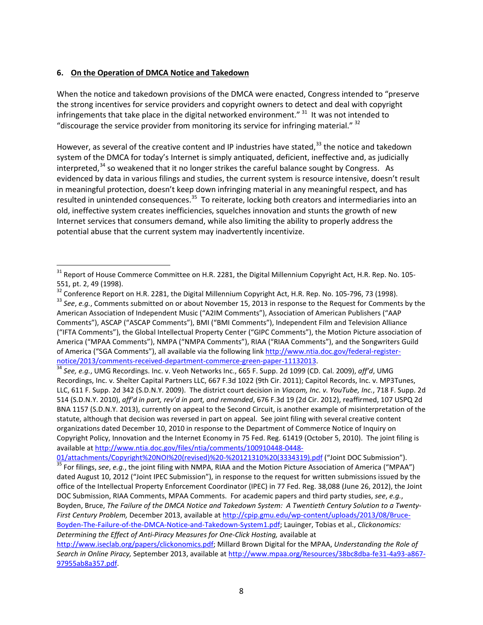#### **6. On the Operation of DMCA Notice and Takedown**

When the notice and takedown provisions of the DMCA were enacted, Congress intended to "preserve the strong incentives for service providers and copyright owners to detect and deal with copyright infringements that take place in the digital networked environment."  $31$  It was not intended to "discourage the service provider from monitoring its service for infringing material."  $32$ 

<span id="page-7-5"></span>However, as several of the creative content and IP industries have stated,<sup>[33](#page-7-2)</sup> the notice and takedown system of the DMCA for today's Internet is simply antiquated, deficient, ineffective and, as judicially interpreted, $34$  so weakened that it no longer strikes the careful balance sought by Congress. As evidenced by data in various filings and studies, the current system is resource intensive, doesn't result in meaningful protection, doesn't keep down infringing material in any meaningful respect, and has resulted in unintended consequences.<sup>35</sup> To reiterate, locking both creators and intermediaries into an old, ineffective system creates inefficiencies, squelches innovation and stunts the growth of new Internet services that consumers demand, while also limiting the ability to properly address the potential abuse that the current system may inadvertently incentivize.

<span id="page-7-3"></span>[notice/2013/comments-received-department-commerce-green-paper-11132013.](http://www.ntia.doc.gov/federal-register-notice/2013/comments-received-department-commerce-green-paper-11132013) <sup>34</sup> *See, e.g.*, UMG Recordings. Inc. v. Veoh Networks Inc., 665 F. Supp. 2d 1099 (CD. Cal. 2009), *aff'd*, UMG Recordings, Inc. v. Shelter Capital Partners LLC, 667 F.3d 1022 (9th Cir. 2011); Capitol Records, Inc. v. MP3Tunes, LLC, 611 F. Supp. 2d 342 (S.D.N.Y. 2009). The district court decision in *Viacom, Inc. v. YouTube, Inc.*, 718 F. Supp. 2d 514 (S.D.N.Y. 2010), *aff'd in part, rev'd in part, and remanded*, 676 F.3d 19 (2d Cir. 2012), reaffirmed, 107 USPQ 2d BNA 1157 (S.D.N.Y. 2013), currently on appeal to the Second Circuit, is another example of misinterpretation of the statute, although that decision was reversed in part on appeal. See joint filing with several creative content organizations dated December 10, 2010 in response to the Department of Commerce Notice of Inquiry on Copyright Policy, Innovation and the Internet Economy in 75 Fed. Reg. 61419 (October 5, 2010). The joint filing is

<span id="page-7-4"></span>available a[t http://www.ntia.doc.gov/files/ntia/comments/100910448-0448-](http://www.ntia.doc.gov/files/ntia/comments/100910448-0448-01/attachments/Copyright%20NOI%20(revised)%20-%20121310%20(3334319).pdf)<br>01/attachments/Copyright%20NOI%20(revised)%20-%20121310%20(3334319).pdf ("Joint DOC Submission"). <sup>35</sup> For filings, see, e.g., the joint filing with NMPA, RIAA and the Motion Picture Association of America ("MPAA") dated August 10, 2012 ("Joint IPEC Submission"), in response to the request for written submissions issued by the office of the Intellectual Property Enforcement Coordinator (IPEC) in 77 Fed. Reg. 38,088 (June 26, 2012), the Joint DOC Submission, RIAA Comments, MPAA Comments. For academic papers and third party studies, *see*, *e.g.*,

Boyden, Bruce, *The Failure of the DMCA Notice and Takedown System: A Twentieth Century Solution to a Twenty-First Century Problem,* December 2013, available at [http://cpip.gmu.edu/wp-content/uploads/2013/08/Bruce-](http://cpip.gmu.edu/wp-content/uploads/2013/08/Bruce-Boyden-The-Failure-of-the-DMCA-Notice-and-Takedown-System1.pdf)[Boyden-The-Failure-of-the-DMCA-Notice-and-Takedown-System1.pdf;](http://cpip.gmu.edu/wp-content/uploads/2013/08/Bruce-Boyden-The-Failure-of-the-DMCA-Notice-and-Takedown-System1.pdf) Lauinger, Tobias et al., *Clickonomics: Determining the Effect of Anti-Piracy Measures for One-Click Hosting,* available at

[http://www.iseclab.org/papers/clickonomics.pdf;](http://www.iseclab.org/papers/clickonomics.pdf) Millard Brown Digital for the MPAA, *Understanding the Role of Search in Online Piracy,* September 2013, available at [http://www.mpaa.org/Resources/38bc8dba-fe31-4a93-a867-](http://www.mpaa.org/Resources/38bc8dba-fe31-4a93-a867-97955ab8a357.pdf) [97955ab8a357.pdf.](http://www.mpaa.org/Resources/38bc8dba-fe31-4a93-a867-97955ab8a357.pdf) 

<span id="page-7-0"></span><sup>&</sup>lt;sup>31</sup> Report of House Commerce Committee on H.R. 2281, the Digital Millennium Copyright Act, H.R. Rep. No. 105-551, pt. 2, 49 (1998).<br><sup>32</sup> Conference Report on H.R. 2281, the Digital Millennium Copyright Act, H.R. Rep. No. 105-796, 73 (1998).

<span id="page-7-1"></span><sup>&</sup>lt;sup>33</sup> See, e.g., Comments submitted on or about November 15, 2013 in response to the Request for Comments by the

<span id="page-7-2"></span>American Association of Independent Music ("A2IM Comments"), Association of American Publishers ("AAP Comments"), ASCAP ("ASCAP Comments"), BMI ("BMI Comments"), Independent Film and Television Alliance ("IFTA Comments"), the Global Intellectual Property Center ("GIPC Comments"), the Motion Picture association of America ("MPAA Comments"), NMPA ("NMPA Comments"), RIAA ("RIAA Comments"), and the Songwriters Guild of America ("SGA Comments"), all available via the following lin[k http://www.ntia.doc.gov/federal-register-](http://www.ntia.doc.gov/federal-register-notice/2013/comments-received-department-commerce-green-paper-11132013)